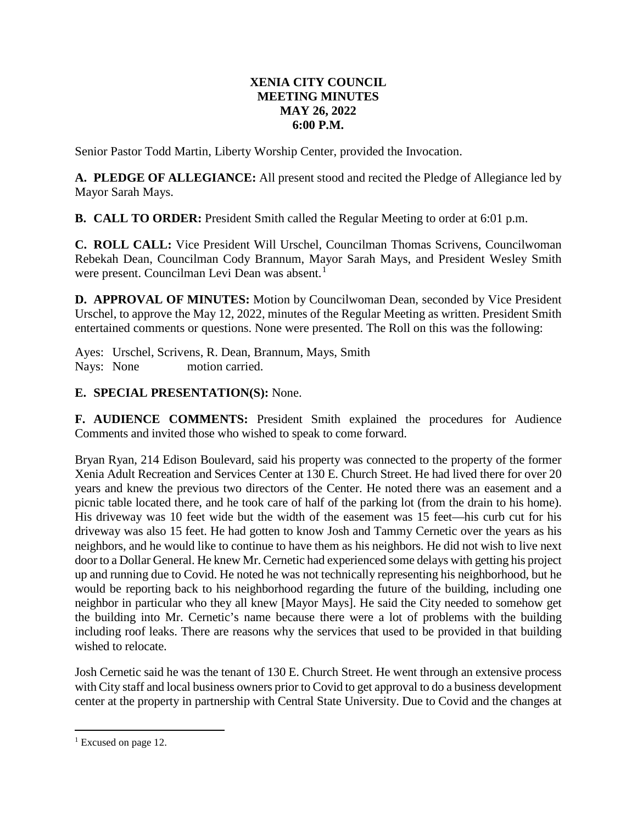## **XENIA CITY COUNCIL MEETING MINUTES MAY 26, 2022 6:00 P.M.**

Senior Pastor Todd Martin, Liberty Worship Center, provided the Invocation.

**A. PLEDGE OF ALLEGIANCE:** All present stood and recited the Pledge of Allegiance led by Mayor Sarah Mays.

**B. CALL TO ORDER:** President Smith called the Regular Meeting to order at 6:01 p.m.

**C. ROLL CALL:** Vice President Will Urschel, Councilman Thomas Scrivens, Councilwoman Rebekah Dean, Councilman Cody Brannum, Mayor Sarah Mays, and President Wesley Smith were present. Councilman Levi Dean was absent.<sup>[1](#page-0-0)</sup>

**D. APPROVAL OF MINUTES:** Motion by Councilwoman Dean, seconded by Vice President Urschel, to approve the May 12, 2022, minutes of the Regular Meeting as written. President Smith entertained comments or questions. None were presented. The Roll on this was the following:

Ayes: Urschel, Scrivens, R. Dean, Brannum, Mays, Smith Nays: None motion carried.

## **E. SPECIAL PRESENTATION(S):** None.

**F. AUDIENCE COMMENTS:** President Smith explained the procedures for Audience Comments and invited those who wished to speak to come forward.

Bryan Ryan, 214 Edison Boulevard, said his property was connected to the property of the former Xenia Adult Recreation and Services Center at 130 E. Church Street. He had lived there for over 20 years and knew the previous two directors of the Center. He noted there was an easement and a picnic table located there, and he took care of half of the parking lot (from the drain to his home). His driveway was 10 feet wide but the width of the easement was 15 feet—his curb cut for his driveway was also 15 feet. He had gotten to know Josh and Tammy Cernetic over the years as his neighbors, and he would like to continue to have them as his neighbors. He did not wish to live next door to a Dollar General. He knew Mr. Cernetic had experienced some delays with getting his project up and running due to Covid. He noted he was not technically representing his neighborhood, but he would be reporting back to his neighborhood regarding the future of the building, including one neighbor in particular who they all knew [Mayor Mays]. He said the City needed to somehow get the building into Mr. Cernetic's name because there were a lot of problems with the building including roof leaks. There are reasons why the services that used to be provided in that building wished to relocate.

Josh Cernetic said he was the tenant of 130 E. Church Street. He went through an extensive process with City staff and local business owners prior to Covid to get approval to do a business development center at the property in partnership with Central State University. Due to Covid and the changes at

<span id="page-0-0"></span> $1$  Excused on page 12.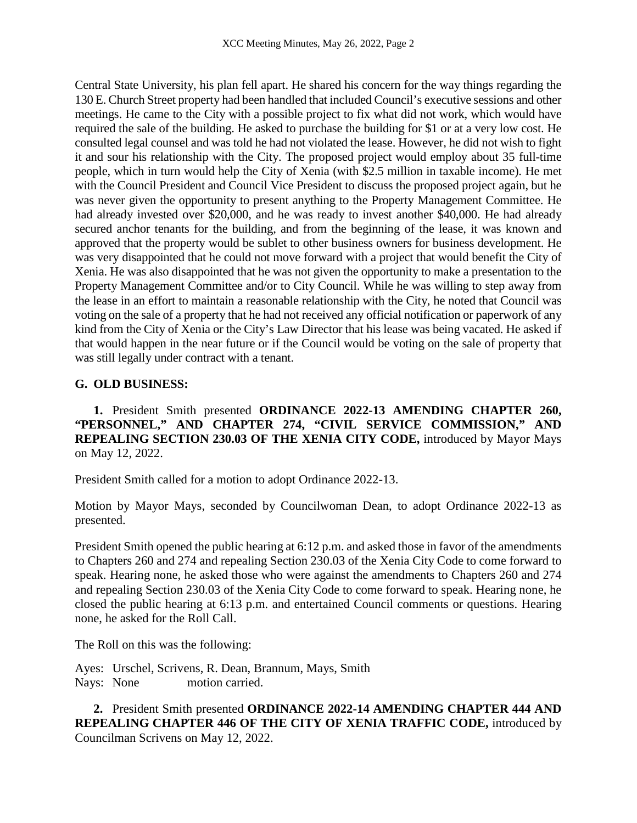Central State University, his plan fell apart. He shared his concern for the way things regarding the 130 E. Church Street property had been handled that included Council's executive sessions and other meetings. He came to the City with a possible project to fix what did not work, which would have required the sale of the building. He asked to purchase the building for \$1 or at a very low cost. He consulted legal counsel and was told he had not violated the lease. However, he did not wish to fight it and sour his relationship with the City. The proposed project would employ about 35 full-time people, which in turn would help the City of Xenia (with \$2.5 million in taxable income). He met with the Council President and Council Vice President to discuss the proposed project again, but he was never given the opportunity to present anything to the Property Management Committee. He had already invested over \$20,000, and he was ready to invest another \$40,000. He had already secured anchor tenants for the building, and from the beginning of the lease, it was known and approved that the property would be sublet to other business owners for business development. He was very disappointed that he could not move forward with a project that would benefit the City of Xenia. He was also disappointed that he was not given the opportunity to make a presentation to the Property Management Committee and/or to City Council. While he was willing to step away from the lease in an effort to maintain a reasonable relationship with the City, he noted that Council was voting on the sale of a property that he had not received any official notification or paperwork of any kind from the City of Xenia or the City's Law Director that his lease was being vacated. He asked if that would happen in the near future or if the Council would be voting on the sale of property that was still legally under contract with a tenant.

# **G. OLD BUSINESS:**

**1.** President Smith presented **ORDINANCE 2022-13 AMENDING CHAPTER 260, "PERSONNEL," AND CHAPTER 274, "CIVIL SERVICE COMMISSION," AND REPEALING SECTION 230.03 OF THE XENIA CITY CODE,** introduced by Mayor Mays on May 12, 2022.

President Smith called for a motion to adopt Ordinance 2022-13.

Motion by Mayor Mays, seconded by Councilwoman Dean, to adopt Ordinance 2022-13 as presented.

President Smith opened the public hearing at 6:12 p.m. and asked those in favor of the amendments to Chapters 260 and 274 and repealing Section 230.03 of the Xenia City Code to come forward to speak. Hearing none, he asked those who were against the amendments to Chapters 260 and 274 and repealing Section 230.03 of the Xenia City Code to come forward to speak. Hearing none, he closed the public hearing at 6:13 p.m. and entertained Council comments or questions. Hearing none, he asked for the Roll Call.

The Roll on this was the following:

Ayes: Urschel, Scrivens, R. Dean, Brannum, Mays, Smith Nays: None motion carried.

**2.** President Smith presented **ORDINANCE 2022-14 AMENDING CHAPTER 444 AND REPEALING CHAPTER 446 OF THE CITY OF XENIA TRAFFIC CODE,** introduced by Councilman Scrivens on May 12, 2022.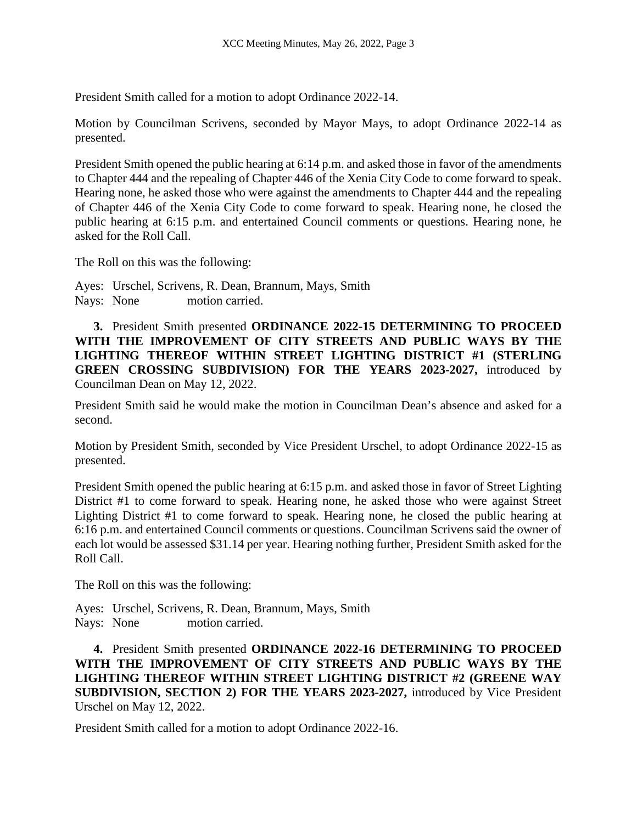President Smith called for a motion to adopt Ordinance 2022-14.

Motion by Councilman Scrivens, seconded by Mayor Mays, to adopt Ordinance 2022-14 as presented.

President Smith opened the public hearing at 6:14 p.m. and asked those in favor of the amendments to Chapter 444 and the repealing of Chapter 446 of the Xenia City Code to come forward to speak. Hearing none, he asked those who were against the amendments to Chapter 444 and the repealing of Chapter 446 of the Xenia City Code to come forward to speak. Hearing none, he closed the public hearing at 6:15 p.m. and entertained Council comments or questions. Hearing none, he asked for the Roll Call.

The Roll on this was the following:

Ayes: Urschel, Scrivens, R. Dean, Brannum, Mays, Smith Nays: None motion carried.

**3.** President Smith presented **ORDINANCE 2022-15 DETERMINING TO PROCEED WITH THE IMPROVEMENT OF CITY STREETS AND PUBLIC WAYS BY THE LIGHTING THEREOF WITHIN STREET LIGHTING DISTRICT #1 (STERLING GREEN CROSSING SUBDIVISION) FOR THE YEARS 2023-2027,** introduced by Councilman Dean on May 12, 2022.

President Smith said he would make the motion in Councilman Dean's absence and asked for a second.

Motion by President Smith, seconded by Vice President Urschel, to adopt Ordinance 2022-15 as presented.

President Smith opened the public hearing at 6:15 p.m. and asked those in favor of Street Lighting District #1 to come forward to speak. Hearing none, he asked those who were against Street Lighting District #1 to come forward to speak. Hearing none, he closed the public hearing at 6:16 p.m. and entertained Council comments or questions. Councilman Scrivens said the owner of each lot would be assessed \$31.14 per year. Hearing nothing further, President Smith asked for the Roll Call.

The Roll on this was the following:

Ayes: Urschel, Scrivens, R. Dean, Brannum, Mays, Smith Nays: None motion carried.

**4.** President Smith presented **ORDINANCE 2022-16 DETERMINING TO PROCEED WITH THE IMPROVEMENT OF CITY STREETS AND PUBLIC WAYS BY THE LIGHTING THEREOF WITHIN STREET LIGHTING DISTRICT #2 (GREENE WAY SUBDIVISION, SECTION 2) FOR THE YEARS 2023-2027,** introduced by Vice President Urschel on May 12, 2022.

President Smith called for a motion to adopt Ordinance 2022-16.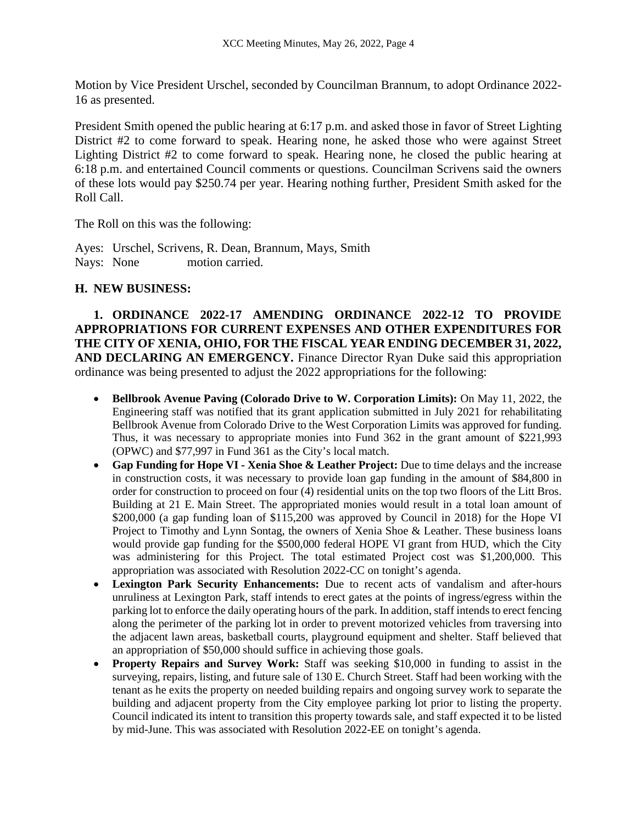Motion by Vice President Urschel, seconded by Councilman Brannum, to adopt Ordinance 2022- 16 as presented.

President Smith opened the public hearing at 6:17 p.m. and asked those in favor of Street Lighting District #2 to come forward to speak. Hearing none, he asked those who were against Street Lighting District #2 to come forward to speak. Hearing none, he closed the public hearing at 6:18 p.m. and entertained Council comments or questions. Councilman Scrivens said the owners of these lots would pay \$250.74 per year. Hearing nothing further, President Smith asked for the Roll Call.

The Roll on this was the following:

Ayes: Urschel, Scrivens, R. Dean, Brannum, Mays, Smith Nays: None motion carried.

#### **H. NEW BUSINESS:**

**1. ORDINANCE 2022-17 AMENDING ORDINANCE 2022-12 TO PROVIDE APPROPRIATIONS FOR CURRENT EXPENSES AND OTHER EXPENDITURES FOR THE CITY OF XENIA, OHIO, FOR THE FISCAL YEAR ENDING DECEMBER 31, 2022, AND DECLARING AN EMERGENCY.** Finance Director Ryan Duke said this appropriation ordinance was being presented to adjust the 2022 appropriations for the following:

- **Bellbrook Avenue Paving (Colorado Drive to W. Corporation Limits):** On May 11, 2022, the Engineering staff was notified that its grant application submitted in July 2021 for rehabilitating Bellbrook Avenue from Colorado Drive to the West Corporation Limits was approved for funding. Thus, it was necessary to appropriate monies into Fund 362 in the grant amount of \$221,993 (OPWC) and \$77,997 in Fund 361 as the City's local match.
- **Gap Funding for Hope VI - Xenia Shoe & Leather Project:** Due to time delays and the increase in construction costs, it was necessary to provide loan gap funding in the amount of \$84,800 in order for construction to proceed on four (4) residential units on the top two floors of the Litt Bros. Building at 21 E. Main Street. The appropriated monies would result in a total loan amount of \$200,000 (a gap funding loan of \$115,200 was approved by Council in 2018) for the Hope VI Project to Timothy and Lynn Sontag, the owners of Xenia Shoe & Leather. These business loans would provide gap funding for the \$500,000 federal HOPE VI grant from HUD, which the City was administering for this Project. The total estimated Project cost was \$1,200,000. This appropriation was associated with Resolution 2022-CC on tonight's agenda.
- **Lexington Park Security Enhancements:** Due to recent acts of vandalism and after-hours unruliness at Lexington Park, staff intends to erect gates at the points of ingress/egress within the parking lot to enforce the daily operating hours of the park. In addition, staff intends to erect fencing along the perimeter of the parking lot in order to prevent motorized vehicles from traversing into the adjacent lawn areas, basketball courts, playground equipment and shelter. Staff believed that an appropriation of \$50,000 should suffice in achieving those goals.
- **Property Repairs and Survey Work:** Staff was seeking \$10,000 in funding to assist in the surveying, repairs, listing, and future sale of 130 E. Church Street. Staff had been working with the tenant as he exits the property on needed building repairs and ongoing survey work to separate the building and adjacent property from the City employee parking lot prior to listing the property. Council indicated its intent to transition this property towards sale, and staff expected it to be listed by mid-June. This was associated with Resolution 2022-EE on tonight's agenda.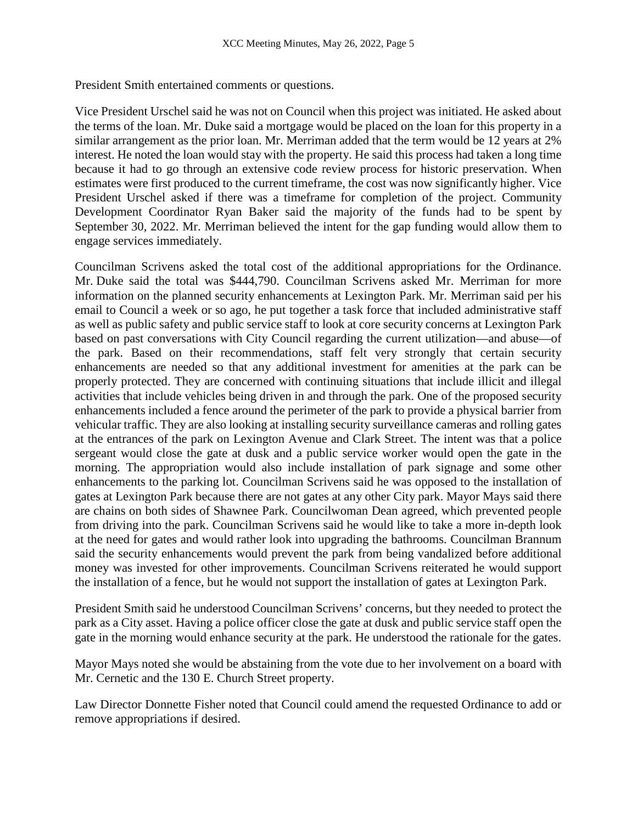President Smith entertained comments or questions.

Vice President Urschel said he was not on Council when this project was initiated. He asked about the terms of the loan. Mr. Duke said a mortgage would be placed on the loan for this property in a similar arrangement as the prior loan. Mr. Merriman added that the term would be 12 years at 2% interest. He noted the loan would stay with the property. He said this process had taken a long time because it had to go through an extensive code review process for historic preservation. When estimates were first produced to the current timeframe, the cost was now significantly higher. Vice President Urschel asked if there was a timeframe for completion of the project. Community Development Coordinator Ryan Baker said the majority of the funds had to be spent by September 30, 2022. Mr. Merriman believed the intent for the gap funding would allow them to engage services immediately.

Councilman Scrivens asked the total cost of the additional appropriations for the Ordinance. Mr. Duke said the total was \$444,790. Councilman Scrivens asked Mr. Merriman for more information on the planned security enhancements at Lexington Park. Mr. Merriman said per his email to Council a week or so ago, he put together a task force that included administrative staff as well as public safety and public service staff to look at core security concerns at Lexington Park based on past conversations with City Council regarding the current utilization—and abuse—of the park. Based on their recommendations, staff felt very strongly that certain security enhancements are needed so that any additional investment for amenities at the park can be properly protected. They are concerned with continuing situations that include illicit and illegal activities that include vehicles being driven in and through the park. One of the proposed security enhancements included a fence around the perimeter of the park to provide a physical barrier from vehicular traffic. They are also looking at installing security surveillance cameras and rolling gates at the entrances of the park on Lexington Avenue and Clark Street. The intent was that a police sergeant would close the gate at dusk and a public service worker would open the gate in the morning. The appropriation would also include installation of park signage and some other enhancements to the parking lot. Councilman Scrivens said he was opposed to the installation of gates at Lexington Park because there are not gates at any other City park. Mayor Mays said there are chains on both sides of Shawnee Park. Councilwoman Dean agreed, which prevented people from driving into the park. Councilman Scrivens said he would like to take a more in-depth look at the need for gates and would rather look into upgrading the bathrooms. Councilman Brannum said the security enhancements would prevent the park from being vandalized before additional money was invested for other improvements. Councilman Scrivens reiterated he would support the installation of a fence, but he would not support the installation of gates at Lexington Park.

President Smith said he understood Councilman Scrivens' concerns, but they needed to protect the park as a City asset. Having a police officer close the gate at dusk and public service staff open the gate in the morning would enhance security at the park. He understood the rationale for the gates.

Mayor Mays noted she would be abstaining from the vote due to her involvement on a board with Mr. Cernetic and the 130 E. Church Street property.

Law Director Donnette Fisher noted that Council could amend the requested Ordinance to add or remove appropriations if desired.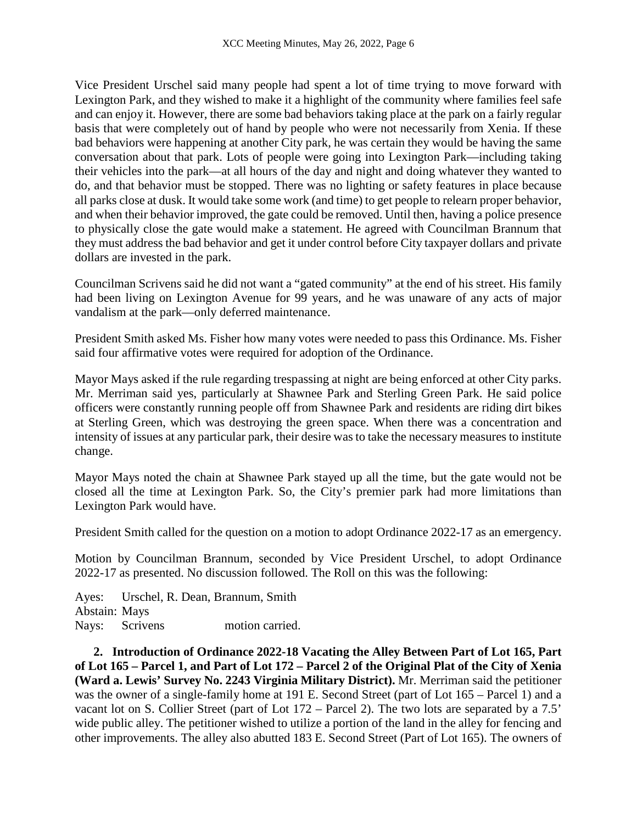Vice President Urschel said many people had spent a lot of time trying to move forward with Lexington Park, and they wished to make it a highlight of the community where families feel safe and can enjoy it. However, there are some bad behaviors taking place at the park on a fairly regular basis that were completely out of hand by people who were not necessarily from Xenia. If these bad behaviors were happening at another City park, he was certain they would be having the same conversation about that park. Lots of people were going into Lexington Park—including taking their vehicles into the park—at all hours of the day and night and doing whatever they wanted to do, and that behavior must be stopped. There was no lighting or safety features in place because all parks close at dusk. It would take some work (and time) to get people to relearn proper behavior, and when their behavior improved, the gate could be removed. Until then, having a police presence to physically close the gate would make a statement. He agreed with Councilman Brannum that they must address the bad behavior and get it under control before City taxpayer dollars and private dollars are invested in the park.

Councilman Scrivens said he did not want a "gated community" at the end of his street. His family had been living on Lexington Avenue for 99 years, and he was unaware of any acts of major vandalism at the park—only deferred maintenance.

President Smith asked Ms. Fisher how many votes were needed to pass this Ordinance. Ms. Fisher said four affirmative votes were required for adoption of the Ordinance.

Mayor Mays asked if the rule regarding trespassing at night are being enforced at other City parks. Mr. Merriman said yes, particularly at Shawnee Park and Sterling Green Park. He said police officers were constantly running people off from Shawnee Park and residents are riding dirt bikes at Sterling Green, which was destroying the green space. When there was a concentration and intensity of issues at any particular park, their desire was to take the necessary measures to institute change.

Mayor Mays noted the chain at Shawnee Park stayed up all the time, but the gate would not be closed all the time at Lexington Park. So, the City's premier park had more limitations than Lexington Park would have.

President Smith called for the question on a motion to adopt Ordinance 2022-17 as an emergency.

Motion by Councilman Brannum, seconded by Vice President Urschel, to adopt Ordinance 2022-17 as presented. No discussion followed. The Roll on this was the following:

Ayes: Urschel, R. Dean, Brannum, Smith Abstain: Mays Nays: Scrivens motion carried.

**2. Introduction of Ordinance 2022-18 Vacating the Alley Between Part of Lot 165, Part of Lot 165 – Parcel 1, and Part of Lot 172 – Parcel 2 of the Original Plat of the City of Xenia (Ward a. Lewis' Survey No. 2243 Virginia Military District).** Mr. Merriman said the petitioner was the owner of a single-family home at 191 E. Second Street (part of Lot 165 – Parcel 1) and a vacant lot on S. Collier Street (part of Lot 172 – Parcel 2). The two lots are separated by a 7.5' wide public alley. The petitioner wished to utilize a portion of the land in the alley for fencing and other improvements. The alley also abutted 183 E. Second Street (Part of Lot 165). The owners of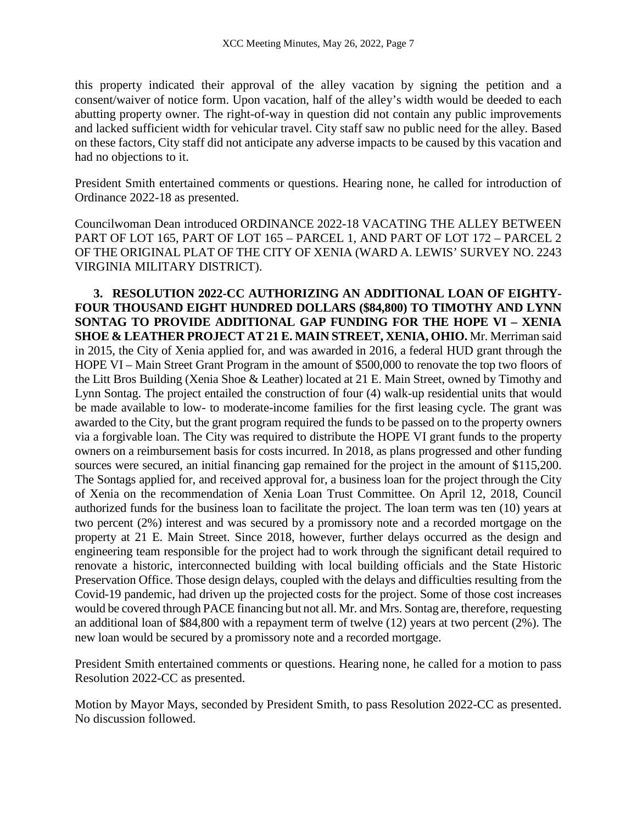this property indicated their approval of the alley vacation by signing the petition and a consent/waiver of notice form. Upon vacation, half of the alley's width would be deeded to each abutting property owner. The right-of-way in question did not contain any public improvements and lacked sufficient width for vehicular travel. City staff saw no public need for the alley. Based on these factors, City staff did not anticipate any adverse impacts to be caused by this vacation and had no objections to it.

President Smith entertained comments or questions. Hearing none, he called for introduction of Ordinance 2022-18 as presented.

Councilwoman Dean introduced ORDINANCE 2022-18 VACATING THE ALLEY BETWEEN PART OF LOT 165, PART OF LOT 165 – PARCEL 1, AND PART OF LOT 172 – PARCEL 2 OF THE ORIGINAL PLAT OF THE CITY OF XENIA (WARD A. LEWIS' SURVEY NO. 2243 VIRGINIA MILITARY DISTRICT).

**3. RESOLUTION 2022-CC AUTHORIZING AN ADDITIONAL LOAN OF EIGHTY-FOUR THOUSAND EIGHT HUNDRED DOLLARS (\$84,800) TO TIMOTHY AND LYNN SONTAG TO PROVIDE ADDITIONAL GAP FUNDING FOR THE HOPE VI – XENIA SHOE & LEATHER PROJECT AT 21 E. MAIN STREET, XENIA, OHIO.** Mr. Merriman said in 2015, the City of Xenia applied for, and was awarded in 2016, a federal HUD grant through the HOPE VI – Main Street Grant Program in the amount of \$500,000 to renovate the top two floors of the Litt Bros Building (Xenia Shoe & Leather) located at 21 E. Main Street, owned by Timothy and Lynn Sontag. The project entailed the construction of four (4) walk-up residential units that would be made available to low- to moderate-income families for the first leasing cycle. The grant was awarded to the City, but the grant program required the funds to be passed on to the property owners via a forgivable loan. The City was required to distribute the HOPE VI grant funds to the property owners on a reimbursement basis for costs incurred. In 2018, as plans progressed and other funding sources were secured, an initial financing gap remained for the project in the amount of \$115,200. The Sontags applied for, and received approval for, a business loan for the project through the City of Xenia on the recommendation of Xenia Loan Trust Committee. On April 12, 2018, Council authorized funds for the business loan to facilitate the project. The loan term was ten (10) years at two percent (2%) interest and was secured by a promissory note and a recorded mortgage on the property at 21 E. Main Street. Since 2018, however, further delays occurred as the design and engineering team responsible for the project had to work through the significant detail required to renovate a historic, interconnected building with local building officials and the State Historic Preservation Office. Those design delays, coupled with the delays and difficulties resulting from the Covid-19 pandemic, had driven up the projected costs for the project. Some of those cost increases would be covered through PACE financing but not all. Mr. and Mrs. Sontag are, therefore, requesting an additional loan of \$84,800 with a repayment term of twelve (12) years at two percent (2%). The new loan would be secured by a promissory note and a recorded mortgage.

President Smith entertained comments or questions. Hearing none, he called for a motion to pass Resolution 2022-CC as presented.

Motion by Mayor Mays, seconded by President Smith, to pass Resolution 2022-CC as presented. No discussion followed.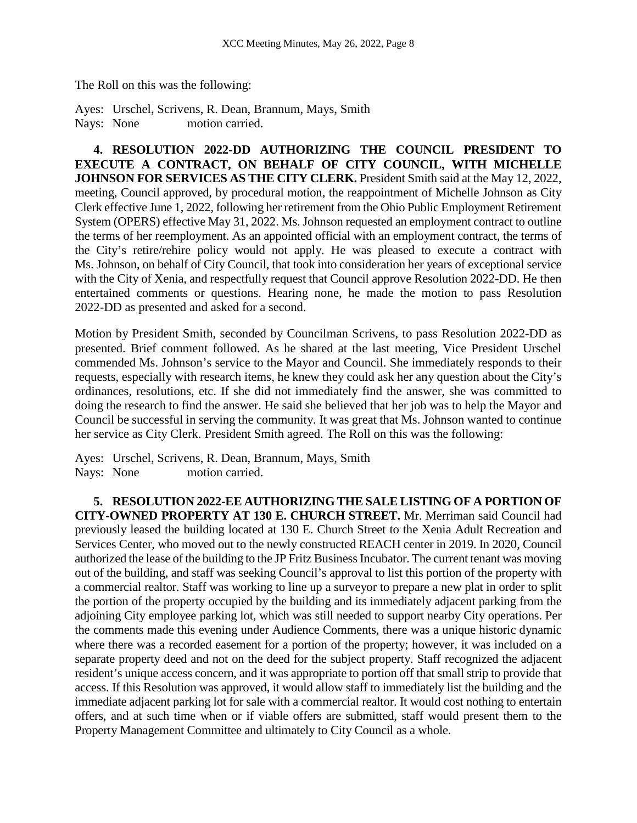The Roll on this was the following:

Ayes: Urschel, Scrivens, R. Dean, Brannum, Mays, Smith Nays: None motion carried.

**4. RESOLUTION 2022-DD AUTHORIZING THE COUNCIL PRESIDENT TO EXECUTE A CONTRACT, ON BEHALF OF CITY COUNCIL, WITH MICHELLE JOHNSON FOR SERVICES AS THE CITY CLERK.** President Smith said at the May 12, 2022, meeting, Council approved, by procedural motion, the reappointment of Michelle Johnson as City Clerk effective June 1, 2022, following her retirement from the Ohio Public Employment Retirement System (OPERS) effective May 31, 2022. Ms. Johnson requested an employment contract to outline the terms of her reemployment. As an appointed official with an employment contract, the terms of the City's retire/rehire policy would not apply. He was pleased to execute a contract with Ms. Johnson, on behalf of City Council, that took into consideration her years of exceptional service with the City of Xenia, and respectfully request that Council approve Resolution 2022-DD. He then entertained comments or questions. Hearing none, he made the motion to pass Resolution 2022-DD as presented and asked for a second.

Motion by President Smith, seconded by Councilman Scrivens, to pass Resolution 2022-DD as presented. Brief comment followed. As he shared at the last meeting, Vice President Urschel commended Ms. Johnson's service to the Mayor and Council. She immediately responds to their requests, especially with research items, he knew they could ask her any question about the City's ordinances, resolutions, etc. If she did not immediately find the answer, she was committed to doing the research to find the answer. He said she believed that her job was to help the Mayor and Council be successful in serving the community. It was great that Ms. Johnson wanted to continue her service as City Clerk. President Smith agreed. The Roll on this was the following:

Ayes: Urschel, Scrivens, R. Dean, Brannum, Mays, Smith Nays: None motion carried.

**5. RESOLUTION 2022-EE AUTHORIZING THE SALE LISTING OF A PORTION OF CITY-OWNED PROPERTY AT 130 E. CHURCH STREET.** Mr. Merriman said Council had previously leased the building located at 130 E. Church Street to the Xenia Adult Recreation and Services Center, who moved out to the newly constructed REACH center in 2019. In 2020, Council authorized the lease of the building to the JP Fritz Business Incubator. The current tenant was moving out of the building, and staff was seeking Council's approval to list this portion of the property with a commercial realtor. Staff was working to line up a surveyor to prepare a new plat in order to split the portion of the property occupied by the building and its immediately adjacent parking from the adjoining City employee parking lot, which was still needed to support nearby City operations. Per the comments made this evening under Audience Comments, there was a unique historic dynamic where there was a recorded easement for a portion of the property; however, it was included on a separate property deed and not on the deed for the subject property. Staff recognized the adjacent resident's unique access concern, and it was appropriate to portion off that small strip to provide that access. If this Resolution was approved, it would allow staff to immediately list the building and the immediate adjacent parking lot for sale with a commercial realtor. It would cost nothing to entertain offers, and at such time when or if viable offers are submitted, staff would present them to the Property Management Committee and ultimately to City Council as a whole.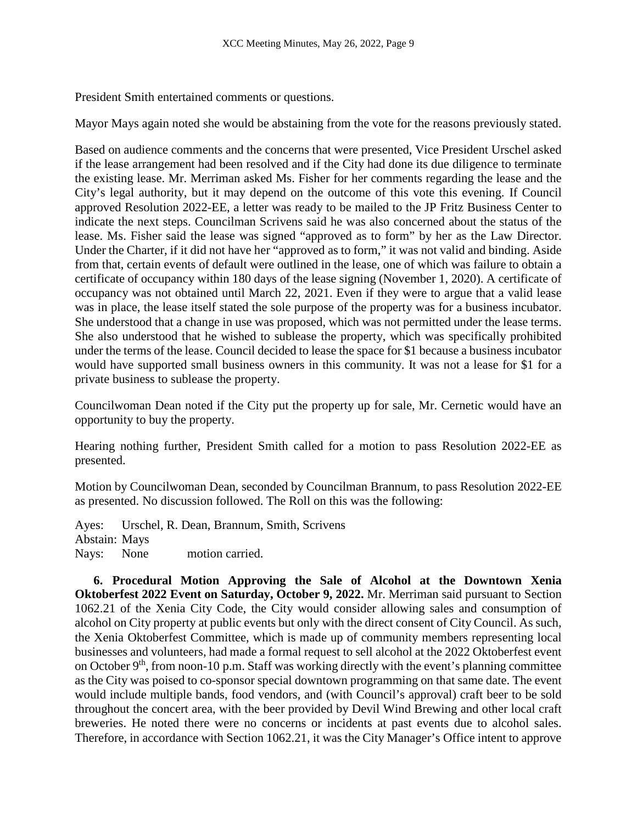President Smith entertained comments or questions.

Mayor Mays again noted she would be abstaining from the vote for the reasons previously stated.

Based on audience comments and the concerns that were presented, Vice President Urschel asked if the lease arrangement had been resolved and if the City had done its due diligence to terminate the existing lease. Mr. Merriman asked Ms. Fisher for her comments regarding the lease and the City's legal authority, but it may depend on the outcome of this vote this evening. If Council approved Resolution 2022-EE, a letter was ready to be mailed to the JP Fritz Business Center to indicate the next steps. Councilman Scrivens said he was also concerned about the status of the lease. Ms. Fisher said the lease was signed "approved as to form" by her as the Law Director. Under the Charter, if it did not have her "approved as to form," it was not valid and binding. Aside from that, certain events of default were outlined in the lease, one of which was failure to obtain a certificate of occupancy within 180 days of the lease signing (November 1, 2020). A certificate of occupancy was not obtained until March 22, 2021. Even if they were to argue that a valid lease was in place, the lease itself stated the sole purpose of the property was for a business incubator. She understood that a change in use was proposed, which was not permitted under the lease terms. She also understood that he wished to sublease the property, which was specifically prohibited under the terms of the lease. Council decided to lease the space for \$1 because a business incubator would have supported small business owners in this community. It was not a lease for \$1 for a private business to sublease the property.

Councilwoman Dean noted if the City put the property up for sale, Mr. Cernetic would have an opportunity to buy the property.

Hearing nothing further, President Smith called for a motion to pass Resolution 2022-EE as presented.

Motion by Councilwoman Dean, seconded by Councilman Brannum, to pass Resolution 2022-EE as presented. No discussion followed. The Roll on this was the following:

Ayes: Urschel, R. Dean, Brannum, Smith, Scrivens Abstain: Mays Nays: None motion carried.

**6. Procedural Motion Approving the Sale of Alcohol at the Downtown Xenia Oktoberfest 2022 Event on Saturday, October 9, 2022.** Mr. Merriman said pursuant to Section 1062.21 of the Xenia City Code, the City would consider allowing sales and consumption of alcohol on City property at public events but only with the direct consent of City Council. As such, the Xenia Oktoberfest Committee, which is made up of community members representing local businesses and volunteers, had made a formal request to sell alcohol at the 2022 Oktoberfest event on October  $9<sup>th</sup>$ , from noon-10 p.m. Staff was working directly with the event's planning committee as the City was poised to co-sponsor special downtown programming on that same date. The event would include multiple bands, food vendors, and (with Council's approval) craft beer to be sold throughout the concert area, with the beer provided by Devil Wind Brewing and other local craft breweries. He noted there were no concerns or incidents at past events due to alcohol sales. Therefore, in accordance with Section 1062.21, it was the City Manager's Office intent to approve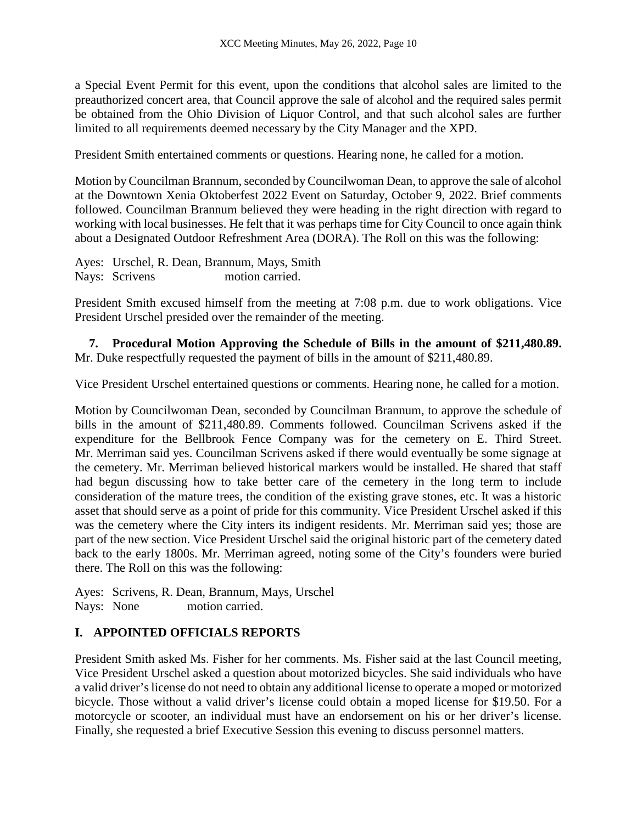a Special Event Permit for this event, upon the conditions that alcohol sales are limited to the preauthorized concert area, that Council approve the sale of alcohol and the required sales permit be obtained from the Ohio Division of Liquor Control, and that such alcohol sales are further limited to all requirements deemed necessary by the City Manager and the XPD.

President Smith entertained comments or questions. Hearing none, he called for a motion.

Motion by Councilman Brannum, seconded by Councilwoman Dean, to approve the sale of alcohol at the Downtown Xenia Oktoberfest 2022 Event on Saturday, October 9, 2022. Brief comments followed. Councilman Brannum believed they were heading in the right direction with regard to working with local businesses. He felt that it was perhaps time for City Council to once again think about a Designated Outdoor Refreshment Area (DORA). The Roll on this was the following:

Ayes: Urschel, R. Dean, Brannum, Mays, Smith Nays: Scrivens motion carried.

President Smith excused himself from the meeting at 7:08 p.m. due to work obligations. Vice President Urschel presided over the remainder of the meeting.

**7. Procedural Motion Approving the Schedule of Bills in the amount of \$211,480.89.**  Mr. Duke respectfully requested the payment of bills in the amount of \$211,480.89.

Vice President Urschel entertained questions or comments. Hearing none, he called for a motion.

Motion by Councilwoman Dean, seconded by Councilman Brannum, to approve the schedule of bills in the amount of \$211,480.89. Comments followed. Councilman Scrivens asked if the expenditure for the Bellbrook Fence Company was for the cemetery on E. Third Street. Mr. Merriman said yes. Councilman Scrivens asked if there would eventually be some signage at the cemetery. Mr. Merriman believed historical markers would be installed. He shared that staff had begun discussing how to take better care of the cemetery in the long term to include consideration of the mature trees, the condition of the existing grave stones, etc. It was a historic asset that should serve as a point of pride for this community. Vice President Urschel asked if this was the cemetery where the City inters its indigent residents. Mr. Merriman said yes; those are part of the new section. Vice President Urschel said the original historic part of the cemetery dated back to the early 1800s. Mr. Merriman agreed, noting some of the City's founders were buried there. The Roll on this was the following:

Ayes: Scrivens, R. Dean, Brannum, Mays, Urschel Nays: None motion carried.

## **I. APPOINTED OFFICIALS REPORTS**

President Smith asked Ms. Fisher for her comments. Ms. Fisher said at the last Council meeting, Vice President Urschel asked a question about motorized bicycles. She said individuals who have a valid driver's license do not need to obtain any additional license to operate a moped or motorized bicycle. Those without a valid driver's license could obtain a moped license for \$19.50. For a motorcycle or scooter, an individual must have an endorsement on his or her driver's license. Finally, she requested a brief Executive Session this evening to discuss personnel matters.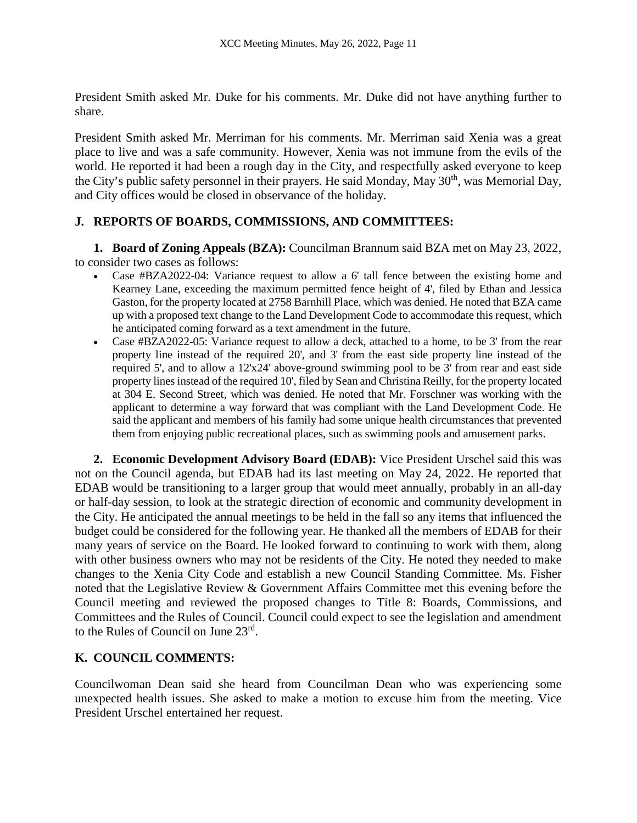President Smith asked Mr. Duke for his comments. Mr. Duke did not have anything further to share.

President Smith asked Mr. Merriman for his comments. Mr. Merriman said Xenia was a great place to live and was a safe community. However, Xenia was not immune from the evils of the world. He reported it had been a rough day in the City, and respectfully asked everyone to keep the City's public safety personnel in their prayers. He said Monday, May 30<sup>th</sup>, was Memorial Day, and City offices would be closed in observance of the holiday.

# **J. REPORTS OF BOARDS, COMMISSIONS, AND COMMITTEES:**

**1. Board of Zoning Appeals (BZA):** Councilman Brannum said BZA met on May 23, 2022, to consider two cases as follows:

- Case #BZA2022-04: Variance request to allow a 6' tall fence between the existing home and Kearney Lane, exceeding the maximum permitted fence height of 4', filed by Ethan and Jessica Gaston, for the property located at 2758 Barnhill Place, which was denied. He noted that BZA came up with a proposed text change to the Land Development Code to accommodate this request, which he anticipated coming forward as a text amendment in the future.
- Case #BZA2022-05: Variance request to allow a deck, attached to a home, to be 3' from the rear property line instead of the required 20', and 3' from the east side property line instead of the required 5', and to allow a 12'x24' above-ground swimming pool to be 3' from rear and east side property lines instead of the required 10', filed by Sean and Christina Reilly, for the property located at 304 E. Second Street, which was denied. He noted that Mr. Forschner was working with the applicant to determine a way forward that was compliant with the Land Development Code. He said the applicant and members of his family had some unique health circumstances that prevented them from enjoying public recreational places, such as swimming pools and amusement parks.

**2. Economic Development Advisory Board (EDAB):** Vice President Urschel said this was not on the Council agenda, but EDAB had its last meeting on May 24, 2022. He reported that EDAB would be transitioning to a larger group that would meet annually, probably in an all-day or half-day session, to look at the strategic direction of economic and community development in the City. He anticipated the annual meetings to be held in the fall so any items that influenced the budget could be considered for the following year. He thanked all the members of EDAB for their many years of service on the Board. He looked forward to continuing to work with them, along with other business owners who may not be residents of the City. He noted they needed to make changes to the Xenia City Code and establish a new Council Standing Committee. Ms. Fisher noted that the Legislative Review & Government Affairs Committee met this evening before the Council meeting and reviewed the proposed changes to Title 8: Boards, Commissions, and Committees and the Rules of Council. Council could expect to see the legislation and amendment to the Rules of Council on June 23rd.

# **K. COUNCIL COMMENTS:**

Councilwoman Dean said she heard from Councilman Dean who was experiencing some unexpected health issues. She asked to make a motion to excuse him from the meeting. Vice President Urschel entertained her request.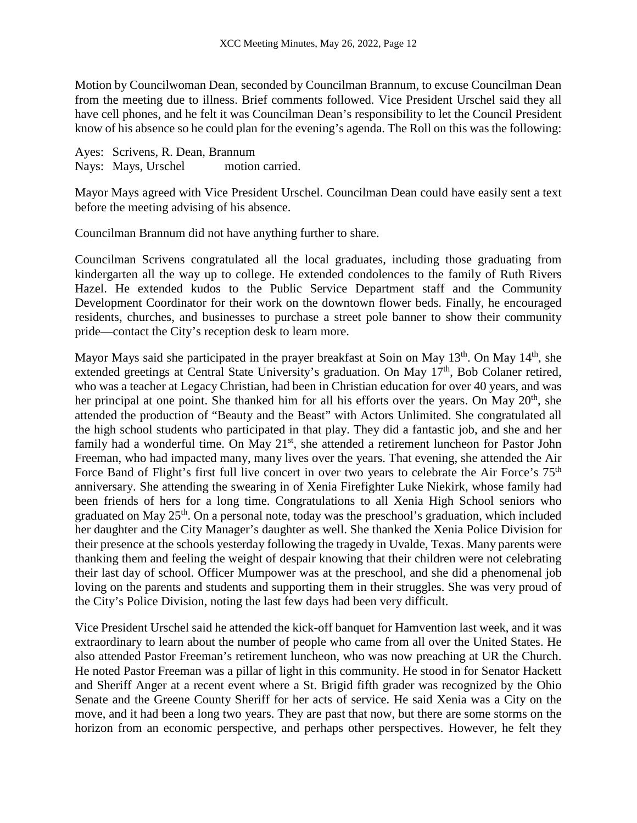Motion by Councilwoman Dean, seconded by Councilman Brannum, to excuse Councilman Dean from the meeting due to illness. Brief comments followed. Vice President Urschel said they all have cell phones, and he felt it was Councilman Dean's responsibility to let the Council President know of his absence so he could plan for the evening's agenda. The Roll on this was the following:

Ayes: Scrivens, R. Dean, Brannum Nays: Mays, Urschel motion carried.

Mayor Mays agreed with Vice President Urschel. Councilman Dean could have easily sent a text before the meeting advising of his absence.

Councilman Brannum did not have anything further to share.

Councilman Scrivens congratulated all the local graduates, including those graduating from kindergarten all the way up to college. He extended condolences to the family of Ruth Rivers Hazel. He extended kudos to the Public Service Department staff and the Community Development Coordinator for their work on the downtown flower beds. Finally, he encouraged residents, churches, and businesses to purchase a street pole banner to show their community pride—contact the City's reception desk to learn more.

Mayor Mays said she participated in the prayer breakfast at Soin on May  $13<sup>th</sup>$ . On May  $14<sup>th</sup>$ , she extended greetings at Central State University's graduation. On May 17<sup>th</sup>, Bob Colaner retired, who was a teacher at Legacy Christian, had been in Christian education for over 40 years, and was her principal at one point. She thanked him for all his efforts over the years. On May 20<sup>th</sup>, she attended the production of "Beauty and the Beast" with Actors Unlimited. She congratulated all the high school students who participated in that play. They did a fantastic job, and she and her family had a wonderful time. On May 21<sup>st</sup>, she attended a retirement luncheon for Pastor John Freeman, who had impacted many, many lives over the years. That evening, she attended the Air Force Band of Flight's first full live concert in over two years to celebrate the Air Force's 75<sup>th</sup> anniversary. She attending the swearing in of Xenia Firefighter Luke Niekirk, whose family had been friends of hers for a long time. Congratulations to all Xenia High School seniors who graduated on May  $25<sup>th</sup>$ . On a personal note, today was the preschool's graduation, which included her daughter and the City Manager's daughter as well. She thanked the Xenia Police Division for their presence at the schools yesterday following the tragedy in Uvalde, Texas. Many parents were thanking them and feeling the weight of despair knowing that their children were not celebrating their last day of school. Officer Mumpower was at the preschool, and she did a phenomenal job loving on the parents and students and supporting them in their struggles. She was very proud of the City's Police Division, noting the last few days had been very difficult.

Vice President Urschel said he attended the kick-off banquet for Hamvention last week, and it was extraordinary to learn about the number of people who came from all over the United States. He also attended Pastor Freeman's retirement luncheon, who was now preaching at UR the Church. He noted Pastor Freeman was a pillar of light in this community. He stood in for Senator Hackett and Sheriff Anger at a recent event where a St. Brigid fifth grader was recognized by the Ohio Senate and the Greene County Sheriff for her acts of service. He said Xenia was a City on the move, and it had been a long two years. They are past that now, but there are some storms on the horizon from an economic perspective, and perhaps other perspectives. However, he felt they